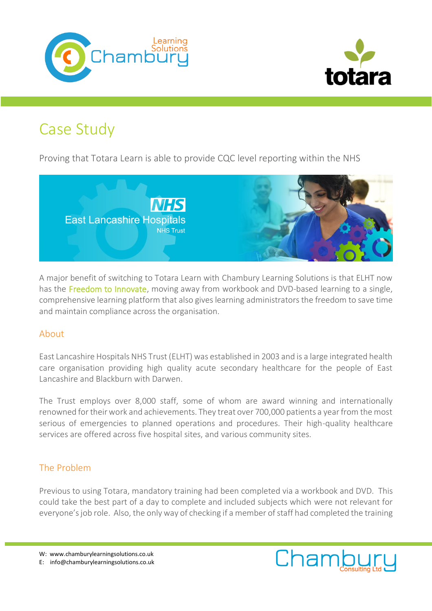



# Case Study

Proving that Totara Learn is able to provide CQC level reporting within the NHS



A major benefit of switching to Totara Learn with Chambury Learning Solutions is that ELHT now has the Freedom to Innovate, moving away from workbook and DVD-based learning to a single, comprehensive learning platform that also gives learning administrators the freedom to save time and maintain compliance across the organisation.

## About

East Lancashire Hospitals NHS Trust (ELHT) was established in 2003 and is a large integrated health care organisation providing high quality acute secondary healthcare for the people of East Lancashire and Blackburn with Darwen.

The Trust employs over 8,000 staff, some of whom are award winning and internationally renowned for their work and achievements. They treat over 700,000 patients a year from the most serious of emergencies to planned operations and procedures. Their high-quality healthcare services are offered across five hospital sites, and various community sites.

# The Problem

Previous to using Totara, mandatory training had been completed via a workbook and DVD. This could take the best part of a day to complete and included subjects which were not relevant for everyone's job role. Also, the only way of checking if a member of staff had completed the training

W: www.chamburylearningsolutions.co.uk

E: info@chamburylearningsolutions.co.uk

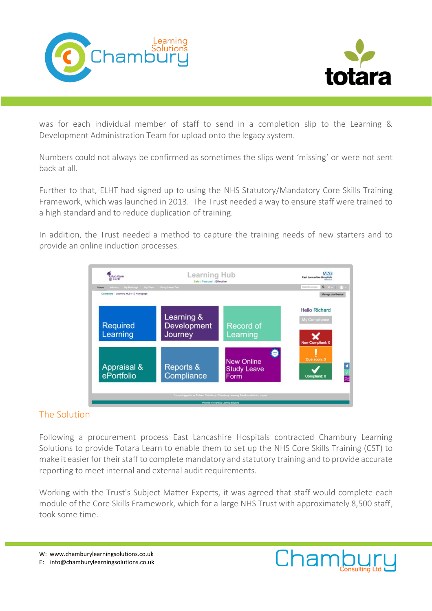



was for each individual member of staff to send in a completion slip to the Learning & Development Administration Team for upload onto the legacy system.

Numbers could not always be confirmed as sometimes the slips went 'missing' or were not sent back at all.

Further to that, ELHT had signed up to using the NHS Statutory/Mandatory Core Skills Training Framework, which was launched in 2013. The Trust needed a way to ensure staff were trained to a high standard and to reduce duplication of training.

In addition, the Trust needed a method to capture the training needs of new starters and to provide an online induction processes.



## The Solution

Following a procurement process East Lancashire Hospitals contracted Chambury Learning Solutions to provide Totara Learn to enable them to set up the NHS Core Skills Training (CST) to make it easier for their staff to complete mandatory and statutory training and to provide accurate reporting to meet internal and external audit requirements.

Working with the Trust's Subject Matter Experts, it was agreed that staff would complete each module of the Core Skills Framework, which for a large NHS Trust with approximately 8,500 staff, took some time.

- W: www.chamburylearningsolutions.co.uk
- E: info@chamburylearningsolutions.co.uk

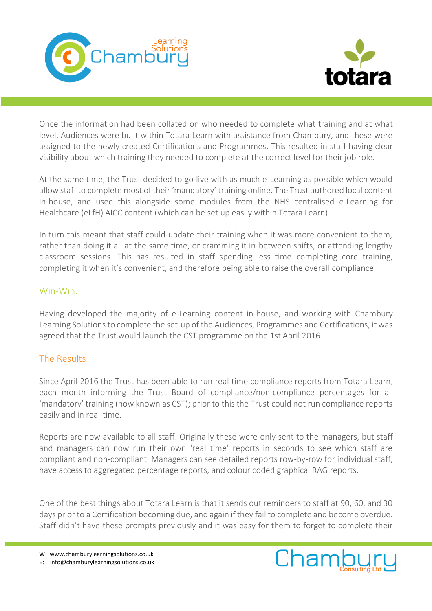



Once the information had been collated on who needed to complete what training and at what level, Audiences were built within Totara Learn with assistance from Chambury, and these were assigned to the newly created Certifications and Programmes. This resulted in staff having clear visibility about which training they needed to complete at the correct level for their job role.

At the same time, the Trust decided to go live with as much e-Learning as possible which would allow staff to complete most of their 'mandatory' training online. The Trust authored local content in-house, and used this alongside some modules from the NHS centralised e-Learning for Healthcare (eLfH) AICC content (which can be set up easily within Totara Learn).

In turn this meant that staff could update their training when it was more convenient to them, rather than doing it all at the same time, or cramming it in-between shifts, or attending lengthy classroom sessions. This has resulted in staff spending less time completing core training, completing it when it's convenient, and therefore being able to raise the overall compliance.

#### Win-Win.

Having developed the majority of e-Learning content in-house, and working with Chambury Learning Solutions to complete the set-up of the Audiences, Programmes and Certifications, it was agreed that the Trust would launch the CST programme on the 1st April 2016.

## The Results

Since April 2016 the Trust has been able to run real time compliance reports from Totara Learn, each month informing the Trust Board of compliance/non-compliance percentages for all 'mandatory' training (now known as CST); prior to this the Trust could not run compliance reports easily and in real-time.

Reports are now available to all staff. Originally these were only sent to the managers, but staff and managers can now run their own 'real time' reports in seconds to see which staff are compliant and non-compliant. Managers can see detailed reports row-by-row for individual staff, have access to aggregated percentage reports, and colour coded graphical RAG reports.

One of the best things about Totara Learn is that it sends out reminders to staff at 90, 60, and 30 days prior to a Certification becoming due, and again if they fail to complete and become overdue. Staff didn't have these prompts previously and it was easy for them to forget to complete their

W: www.chamburylearningsolutions.co.uk E: info@chamburylearningsolutions.co.uk

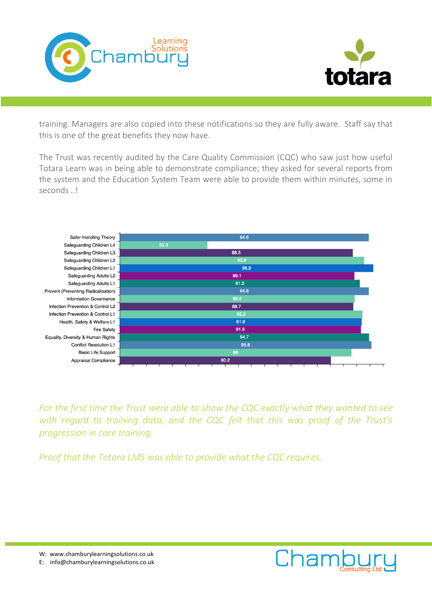



training. Managers are also copied into these notifications so they are fully aware. Staff say that this is one of the great benefits they now have.

The Trust was recently audited by the Care Quality Commission (CQC) who saw just how useful Totara Learn was in being able to demonstrate compliance; they asked for several reports from the system and the Education System Team were able to provide them within minutes, some in seconds ..!



*For the first time the Trust were able to show the CQC exactly what they wanted to see*  with regard to training data, and the CQC felt that this was proof of the Trust's *progression in core training.*

*Proof that the Totara LMS was able to provide what the CQC requires.*



E: info@chamburylearningsolutions.co.uk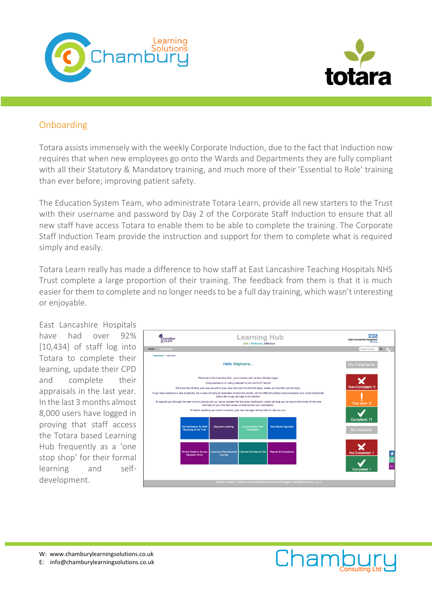



## Onboarding

Totara assists immensely with the weekly Corporate Induction, due to the fact that Induction now requires that when new employees go onto the Wards and Departments they are fully compliant with all their Statutory & Mandatory training, and much more of their 'Essential to Role' training than ever before; improving patient safety.

The Education System Team, who administrate Totara Learn, provide all new starters to the Trust with their username and password by Day 2 of the Corporate Staff Induction to ensure that all new staff have access Totara to enable them to be able to complete the training. The Corporate Staff Induction Team provide the instruction and support for them to complete what is required simply and easily.

Totara Learn really has made a difference to how staff at East Lancashire Teaching Hospitals NHS Trust complete a large proportion of their training. The feedback from them is that it is much easier for them to complete and no longer needs to be a full day training, which wasn't interesting or enjoyable.

East Lancashire Hospitals have had over 92% [10,434] of staff log into Totara to complete their learning, update their CPD and complete their appraisals in the last year. In the last 3 months almost 8,000 users have logged in proving that staff access the Totara based Learning Hub frequently as a 'one stop shop' for their formal learning and selfdevelopment.



W: www.chamburylearningsolutions.co.uk